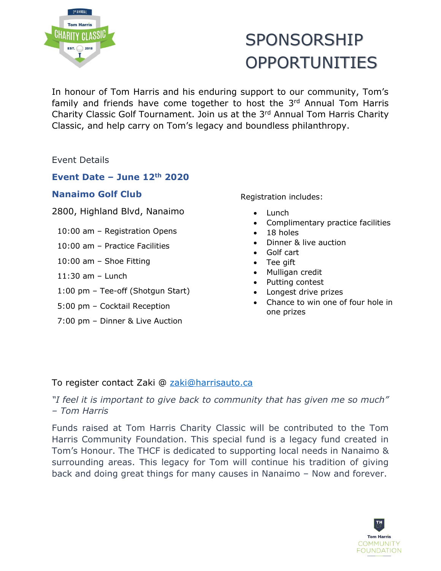

# SPONSORSHIP OPPORTUNITIES

In honour of Tom Harris and his enduring support to our community, Tom's family and friends have come together to host the 3<sup>rd</sup> Annual Tom Harris Charity Classic Golf Tournament. Join us at the 3<sup>rd</sup> Annual Tom Harris Charity Classic, and help carry on Tom's legacy and boundless philanthropy.

Event Details

### **Event Date – June 12th 2020**

#### **Nanaimo Golf Club**

2800, Highland Blvd, Nanaimo

10:00 am – Registration Opens

- 10:00 am Practice Facilities
- 10:00 am Shoe Fitting
- 11:30 am Lunch
- 1:00 pm Tee-off (Shotgun Start)
- 5:00 pm Cocktail Reception
- 7:00 pm Dinner & Live Auction

Registration includes:

- Lunch
- Complimentary practice facilities
- 18 holes
- Dinner & live auction
- Golf cart
- Tee gift
- Mulligan credit
- Putting contest
- Longest drive prizes
- Chance to win one of four hole in one prizes

### To register contact Zaki @ [zaki@harrisauto.ca](mailto:zaki@harrisauto.ca)

*"I feel it is important to give back to community that has given me so much" – Tom Harris*

Funds raised at Tom Harris Charity Classic will be contributed to the Tom Harris Community Foundation. This special fund is a legacy fund created in Tom's Honour. The THCF is dedicated to supporting local needs in Nanaimo & surrounding areas. This legacy for Tom will continue his tradition of giving back and doing great things for many causes in Nanaimo – Now and forever.

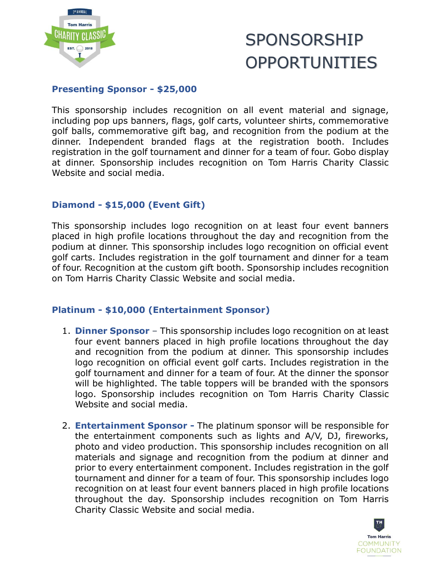

### SPONSORSHIP OPPORTUNITIES

### **Presenting Sponsor - \$25,000**

This sponsorship includes recognition on all event material and signage, including pop ups banners, flags, golf carts, volunteer shirts, commemorative golf balls, commemorative gift bag, and recognition from the podium at the dinner. Independent branded flags at the registration booth. Includes registration in the golf tournament and dinner for a team of four. Gobo display at dinner. Sponsorship includes recognition on Tom Harris Charity Classic Website and social media.

#### **Diamond - \$15,000 (Event Gift)**

This sponsorship includes logo recognition on at least four event banners placed in high profile locations throughout the day and recognition from the podium at dinner. This sponsorship includes logo recognition on official event golf carts. Includes registration in the golf tournament and dinner for a team of four. Recognition at the custom gift booth. Sponsorship includes recognition on Tom Harris Charity Classic Website and social media.

#### **Platinum - \$10,000 (Entertainment Sponsor)**

- 1. **Dinner Sponsor** This sponsorship includes logo recognition on at least four event banners placed in high profile locations throughout the day and recognition from the podium at dinner. This sponsorship includes logo recognition on official event golf carts. Includes registration in the golf tournament and dinner for a team of four. At the dinner the sponsor will be highlighted. The table toppers will be branded with the sponsors logo. Sponsorship includes recognition on Tom Harris Charity Classic Website and social media.
- 2. **Entertainment Sponsor -** The platinum sponsor will be responsible for the entertainment components such as lights and A/V, DJ, fireworks, photo and video production. This sponsorship includes recognition on all materials and signage and recognition from the podium at dinner and prior to every entertainment component. Includes registration in the golf tournament and dinner for a team of four. This sponsorship includes logo recognition on at least four event banners placed in high profile locations throughout the day. Sponsorship includes recognition on Tom Harris Charity Classic Website and social media.